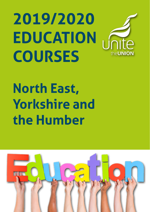# **2019/2020 EDUCATION COURSES**

# **North East, Yorkshire and the Humber**

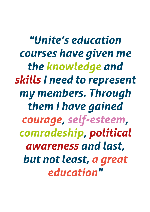*"Unite's education courses have given me the knowledge and skills I need to represent my members. Through them I have gained courage, self-esteem, comradeship, political awareness and last, but not least, a great education"*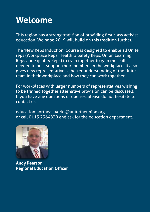# **Welcome**

This region has a strong tradition of providing first class activist education. We hope 2019 will build on this tradition further.

The 'New Reps Induction' Course is designed to enable all Unite reps (Workplace Reps, Health & Safety Reps, Union Learning Reps and Equality Reps) to train together to gain the skills needed to best support their members in the workplace. It also gives new representatives a better understanding of the Unite team in their workplace and how they can work together.

For workplaces with larger numbers of representatives wishing to be trained together alternative provision can be discussed. If you have any questions or queries, please do not hesitate to contact us.

education.northeastyorks@unitetheunion.org or call 0113 2364830 and ask for the education department.



**Andy Pearson Regional Education Officer**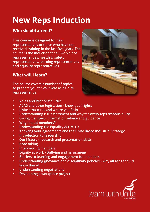# **New Reps Induction**

### **Who should attend?**

This course is designed for new representatives or those who have not received training in the last five years. The course is the induction for all workplace representatives, health & safety representatives, learning representatives and equality representatives.

### **What will I learn?**

The course covers a number of topics to prepare you for your role as a Unite representative.



- Roles and Responsibilities
- ACAS and other legislation know your rights
- Unite structures and where you fit in
- Understanding risk assessment and why it's every reps responsibility
- Giving members information, advice and guidance
- Why recruit members?
- Understanding the Equality Act 2010
- Knowing your agreements and the Unite Broad Industrial Strategy
- Introduction to leadership
- Our history research and presentation skills
- **Note taking**
- Interviewing members
- Dignity at work Bullying and harassment
- Barriers to learning and engagement for members
- Understanding grievance and disciplinary policies why all reps should know these!
- Understanding negotiations
- Developing a workplace project

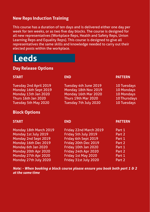### **New Reps Induction Training**

This course has a duration of ten days and is delivered either one day per week for ten weeks, or as two five day blocks. The course is designed for all new representatives (Workplace Reps, Health and Safety Reps, Union Learning Reps and Equality Reps). This course is designed to give all representatives the same skills and knowledge needed to carry out their elected posts within the workplace.

### **Leeds**

### **Day Release Options**

| <b>END</b>             | <b>PATTERN</b>                                |
|------------------------|-----------------------------------------------|
| Tuesday 4th June 2019  | 10 Tuesdays                                   |
| Monday 18th Nov 2019   | 10 Mondays                                    |
| Monday 16th Mar 2020   | 10 Mondays                                    |
| Thurs 19th Mar 2020    | 10 Thursdays                                  |
| Tuesday 7th July 2020  | 10 Tuesdays                                   |
|                        |                                               |
| <b>END</b>             | <b>PATTERN</b>                                |
| Friday 22nd March 2019 | Part 1                                        |
| Friday 5th July 2019   | Part 2                                        |
| Friday 6th Sept 2019   | Part 1                                        |
| Friday 20th Dec 2019   | Part 2                                        |
| Friday 10th Jan 2020   | Part 1                                        |
|                        | Part 2                                        |
| Friday 1st May 2020    | Part 1                                        |
|                        | Part 2                                        |
|                        | Friday 24th Apr 2020<br>Friday 31st July 2020 |

*Note: - When booking a block course please ensure you book both part 1 & 2 at the same time*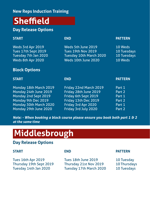### **New Reps Induction Training**

# **Sheffield**

### **Day Release Options**

#### **START END PATTERN**

| Weds 3rd Apr 2019    | Weds 5th June 2019        | 10 Weds     |
|----------------------|---------------------------|-------------|
| Tues 17th Sept 2019  | <b>Tues 19th Nov 2019</b> | 10 Tuesdays |
| Tuesday 7th Jan 2020 | Tuesday 10th March 2020   | 10 Tuesdays |
| Weds 8th Apr 2020    | Weds 10th June 2020       | 10 Weds     |

### **Block Options**

| <b>START</b>           | <b>END</b>             | <b>PATTERN</b> |
|------------------------|------------------------|----------------|
| Monday 18th March 2019 | Friday 22nd March 2019 | Part 1         |
| Monday 24th June 2019  | Friday 28th June 2019  | Part 2         |
| Monday 2nd Sept 2019   | Friday 6th Sept 2019   | Part 1         |
| Monday 9th Dec 2019    | Friday 13th Dec 2019   | Part 2         |
| Monday 30th March 2020 | Friday 3rd Apr 2020    | Part 1         |
| Monday 29th June 2020  | Friday 3rd July 2020   | Part 2         |

*Note: - When booking a block course please ensure you book both part 1 & 2 at the same time*

## **Middlesbrough**

### **Day Release Options**

Tues 16th Apr 2019 Tues 18th June 2019 10 Tuesday<br>Thursday 19th Sept 2019 Thursday 21st Nov 2019 10 Thursday Thursday 19th Sept 2019 Thursday 21st Nov 2019 10 Thursdays<br>Tuesday 14th Jan 2020 Tuesday 17th March 2020 10 Tuesdays Tuesday 17th March 2020

#### **START END PATTERN**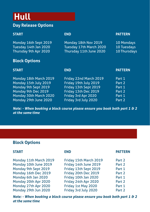# **Hull**

### **Day Release Options**

#### **START END PATTERN**

| Monday 16th Sept 2019 | Monday 18th Nov 2019 '  | <b>10 Mondays</b> |
|-----------------------|-------------------------|-------------------|
| Tuesday 14th Jan 2020 | Tuesday 17th March 2020 | 10 Tuesdays       |
| Thursday 9th Apr 2020 | Thursday 11th June 2020 | 10 Thursdays      |

### **Block Options**

| <b>START</b>           | <b>END</b>             | <b>PATTERN</b> |
|------------------------|------------------------|----------------|
| Monday 18th March 2019 | Friday 22nd March 2019 | Part 1         |
| Monday 15th July 2019  | Friday 19th July 2019  | Part 2         |
| Monday 9th Sept 2019   | Friday 13th Sept 2019  | Part 1         |
| Monday 9th Dec 2019    | Friday 13th Dec 2019   | Part 2         |
| Monday 30th March 2020 | Friday 3rd Apr 2020    | Part 1         |
| Monday 29th June 2020  | Friday 3rd July 2020   | Part 2         |

*Note: - When booking a block course please ensure you book both part 1 & 2 at the same time*

### **Block Options**

| <b>START</b>           | <b>END</b>             | <b>PATTERN</b> |
|------------------------|------------------------|----------------|
| Monday 11th March 2019 | Friday 15th March 2019 | Part 2         |
| Monday 10th June 2019  | Friday 14th June 2019  | Part 2         |
| Monday 9th Sept 2019   | Friday 13th Sept 2019  | Part 1         |
| Monday 16th Dec 2019   | Friday 20th Dec 2019   | Part 2         |
| Monday 6th Jan 2020    | Friday 10th Jan 2020   | Part 1         |
| Monday 20th Apr 2020   | Friday 24th Apr 2020   | Part 2         |
| Monday 27th Apr 2020   | Friday 1st May 2020    | Part 1         |
| Monday 29th Jun 2020   | Friday 3rd July 2020   | Part 2         |

*Note: - When booking a block course please ensure you book both part 1 & 2 at the same time*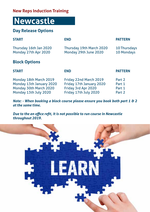### **New Reps Induction Training**

### **Newcastle**

### **Day Release Options**

| <b>START</b>                                   | <b>END</b>                                        | <b>PATTERN</b>             |
|------------------------------------------------|---------------------------------------------------|----------------------------|
| Thursday 16th Jan 2020<br>Monday 27th Apr 2020 | Thursday 19th March 2020<br>Monday 29th June 2020 | 10 Thursdays<br>10 Mondays |
| <b>Block Options</b>                           |                                                   |                            |
|                                                |                                                   |                            |
| <b>START</b>                                   | <b>END</b>                                        | <b>PATTERN</b>             |

*Note: - When booking a block course please ensure you book both part 1 & 2 at the same time.*

*Due to the an office refit, it is not possible to run course in Newcastle throughout 2019.*

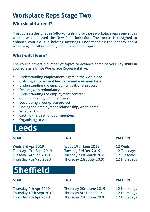### **Workplace Reps Stage Two**

### **Who should attend?**

This course is designed as follow on training for those workplace representatives who have completed the New Reps Induction. The course is designed to enhance your skills in holding meetings, understanding redundancy and a wide range of other employment law related topics.

### **What will I learn?**

The course covers a number of topics to advance some of your key skills in your role as a Unite Workplace Representative.

- Understanding employment rights in the workplace
- Utilising employment law to defend your members
- Understanding the employment tribunal process
- Dealing with redundancy
- Understanding the employment contract
- Communicating with members
- Developing a workplace project
- Ending the employment relationship, what is fair?
- What is TUPE?
- Getting the best for your members
- Organising to win

### **Leeds**

Weds 3rd Apr 2019 Weds 19th June 2019 12 Weds Tuesday 17th Sept 2019 Tuesday 3rd Dec 2019 12 Tuesdays Tuesday 14th Jan 2020 Tuesday 31st March 2020 12 Tuesdays Thursday 7th May 2020 Thursday 23rd July 2020 12 Thursdays

# **Sheffield**

Thursday 4th Apr 2019 Thursday 20th June 2019 12 Thursdays<br>
Thursday 19th Sept 2019 Thursday 5th Dec 2019 12 Thursdays Thursday 19th Sept 2019 Thursday 9th Apr 2020 Thursday 25th June 2020 12 Thursdays

#### **START END PATTERN**

- 
- 
- 
- 

#### **START END PATTERN**

- 
-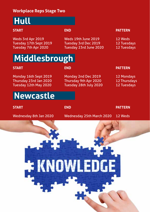### **Workplace Reps Stage Two**

# **Hull**

Weds 3rd Apr 2019 Weds 19th June 2019 12 Weds Tuesday 17th Sept 2019<br>Tuesday 7th Apr 2020

Tuesday 23rd June 2020 12 Tuesdays

### **START END PATTERN**

# **Middlesbrough**

Thursday 23rd Jan 2020 Thursday 9th Apr 2020 12 Thursdays<br>Tuesday 12th May 2020 Tuesday 28th July 2020 12 Tuesdays

### Monday 16th Sept 2019 Monday 2nd Dec 2019 12 Mondays Tuesday 28th July 2020 12 Tuesdays

#### **START END PATTERN**

# **Newcastle**

**START END PATTERN** Wednesday 8th Jan 2020 Wednesday 25th March 2020 12 Weds \* KNOWLED(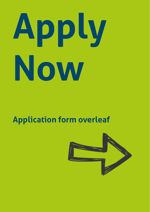# **Apply Now**

# **Application form overleaf**

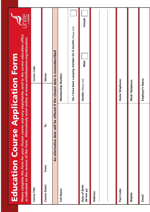|                             | Please complete this form for your chosen course and very importantly send to the correct education office<br>as indicated on the reverse of this form. Alternatively enrol online at www.unitetheunion.org/education.<br><b>Education Course Application Form</b> |                      |                                                            | MOINID <sub>el</sub><br><b>PE</b> |
|-----------------------------|--------------------------------------------------------------------------------------------------------------------------------------------------------------------------------------------------------------------------------------------------------------------|----------------------|------------------------------------------------------------|-----------------------------------|
| Course Title:               |                                                                                                                                                                                                                                                                    | Course Code:         |                                                            |                                   |
| <b>Course Dates:</b>        | ë<br>From:                                                                                                                                                                                                                                                         | Venue:               |                                                            |                                   |
|                             | An alternative date will be offered if the chosen date is oversubscribed                                                                                                                                                                                           |                      |                                                            |                                   |
| Full Name:                  |                                                                                                                                                                                                                                                                    | Membership Number:   |                                                            |                                   |
|                             |                                                                                                                                                                                                                                                                    |                      | Yes I have been a paying member for 6 months (Please tick) |                                   |
| Date of Birth:<br>dd mm yy: |                                                                                                                                                                                                                                                                    | Gender (Please tick) | Male                                                       | Female                            |
| Address:                    |                                                                                                                                                                                                                                                                    |                      |                                                            |                                   |
|                             |                                                                                                                                                                                                                                                                    |                      |                                                            |                                   |
|                             |                                                                                                                                                                                                                                                                    |                      |                                                            |                                   |
| Post Code:                  |                                                                                                                                                                                                                                                                    | Home Telephone:      |                                                            |                                   |
| Mobile:                     |                                                                                                                                                                                                                                                                    | Work Telephone:      |                                                            |                                   |
| Email:                      |                                                                                                                                                                                                                                                                    | Employer's Name:     |                                                            |                                   |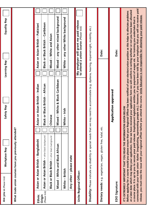| Equality Rep            |                               | Asian or Asian British - Pakistani   | Black or Black British - Caribbean              | Mixed - White and Asian        | Mixed - any other mixed background | White - any other White background |                          | My employer will grant me paid release<br>to attend a union course (Please tick) |                                                                                                                                                      | Date:                                                           | Date:                | connected with your trade union 'duties' (negotiating, representing people etc.). However, if you have been told by your employer that you will not receive paid<br>at a later date which may delay your application. Once we have received your application form we will confirm in writing whether or not you have been allocated<br>Before applying for a course would you please ensure that your Regional Officer has been notified of your election/union position as this helps to alleviate problems<br>release, you must raise the issue with your regional officer before you attend the course. <u>Unite Education is not responsible for obtaining your paid release.</u><br>a course place. It is up to you to secure your paid release. Employment legislation entitles you to payment of wages etc. for training you undertake that is |
|-------------------------|-------------------------------|--------------------------------------|-------------------------------------------------|--------------------------------|------------------------------------|------------------------------------|--------------------------|----------------------------------------------------------------------------------|------------------------------------------------------------------------------------------------------------------------------------------------------|-----------------------------------------------------------------|----------------------|-------------------------------------------------------------------------------------------------------------------------------------------------------------------------------------------------------------------------------------------------------------------------------------------------------------------------------------------------------------------------------------------------------------------------------------------------------------------------------------------------------------------------------------------------------------------------------------------------------------------------------------------------------------------------------------------------------------------------------------------------------------------------------------------------------------------------------------------------------|
|                         |                               |                                      |                                                 |                                |                                    |                                    |                          |                                                                                  |                                                                                                                                                      |                                                                 |                      |                                                                                                                                                                                                                                                                                                                                                                                                                                                                                                                                                                                                                                                                                                                                                                                                                                                       |
| <b>Learning Rep</b>     |                               |                                      |                                                 |                                |                                    |                                    |                          |                                                                                  |                                                                                                                                                      |                                                                 |                      |                                                                                                                                                                                                                                                                                                                                                                                                                                                                                                                                                                                                                                                                                                                                                                                                                                                       |
|                         |                               |                                      |                                                 |                                |                                    |                                    |                          |                                                                                  |                                                                                                                                                      |                                                                 |                      |                                                                                                                                                                                                                                                                                                                                                                                                                                                                                                                                                                                                                                                                                                                                                                                                                                                       |
|                         |                               |                                      |                                                 |                                |                                    |                                    |                          |                                                                                  |                                                                                                                                                      |                                                                 |                      |                                                                                                                                                                                                                                                                                                                                                                                                                                                                                                                                                                                                                                                                                                                                                                                                                                                       |
|                         |                               |                                      |                                                 |                                |                                    |                                    |                          |                                                                                  |                                                                                                                                                      |                                                                 |                      |                                                                                                                                                                                                                                                                                                                                                                                                                                                                                                                                                                                                                                                                                                                                                                                                                                                       |
|                         |                               |                                      |                                                 |                                |                                    |                                    |                          |                                                                                  |                                                                                                                                                      |                                                                 |                      |                                                                                                                                                                                                                                                                                                                                                                                                                                                                                                                                                                                                                                                                                                                                                                                                                                                       |
| Safety Rep              |                               | Asian or Asian British - Indian      | Black or Black British - African                |                                | Mixed - White & Black Caribbean    | White - Irish                      |                          |                                                                                  |                                                                                                                                                      |                                                                 | Application approved |                                                                                                                                                                                                                                                                                                                                                                                                                                                                                                                                                                                                                                                                                                                                                                                                                                                       |
|                         |                               |                                      |                                                 | Chinese                        |                                    |                                    |                          |                                                                                  |                                                                                                                                                      |                                                                 |                      |                                                                                                                                                                                                                                                                                                                                                                                                                                                                                                                                                                                                                                                                                                                                                                                                                                                       |
|                         |                               |                                      |                                                 |                                |                                    |                                    |                          |                                                                                  |                                                                                                                                                      |                                                                 |                      |                                                                                                                                                                                                                                                                                                                                                                                                                                                                                                                                                                                                                                                                                                                                                                                                                                                       |
|                         |                               |                                      |                                                 |                                |                                    |                                    |                          |                                                                                  |                                                                                                                                                      |                                                                 |                      |                                                                                                                                                                                                                                                                                                                                                                                                                                                                                                                                                                                                                                                                                                                                                                                                                                                       |
| Workplace Rep           | nave you previously attended? | Asian or Asian British - Bangladeshi | Asian or Asian British - other black background | itish - other black background | Mixed - White and Black African    |                                    | Any other - please state |                                                                                  | Disability: Please indicate any disability or special needs that we may need to accommodate (e.g. dyslexia, hearing, impaired sight, mobility, etc.) | Dietary needs: e.g. vegetarian, vegan, gluten free, halal, etc. |                      | THAT YOU READ THE INFORMATION GIVEN BELOW                                                                                                                                                                                                                                                                                                                                                                                                                                                                                                                                                                                                                                                                                                                                                                                                             |
| Are you a (Please tick) | What trade union courses      |                                      |                                                 | Black or Black Br              |                                    | White - British                    |                          | Unite Regional Officer:                                                          |                                                                                                                                                      |                                                                 |                      | IT'S EXTREMELY IMPORTANT                                                                                                                                                                                                                                                                                                                                                                                                                                                                                                                                                                                                                                                                                                                                                                                                                              |
|                         |                               | Ethnic                               | (Please tick)<br>Origin                         |                                |                                    |                                    |                          |                                                                                  |                                                                                                                                                      |                                                                 | EDO Signature:       |                                                                                                                                                                                                                                                                                                                                                                                                                                                                                                                                                                                                                                                                                                                                                                                                                                                       |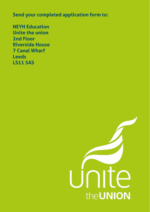**Send your completed application form to:**

**NEYH Education Unite the union 2nd Floor Riverside House 7 Canal Wharf Leeds LS11 5AS**

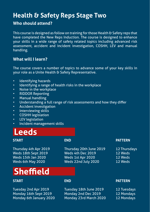### **Health & Safety Reps Stage Two**

### **Who should attend?**

This course is designed as follow on training for those Health & Safety reps that have completed the New Reps Induction. The course is designed to enhance your skills in a wide range of safety related topics including advanced risk assessment, accident and incident investigation, COSHH, LEV and manual handling.

### **What will I learn?**

The course covers a number of topics to advance some of your key skills in your role as a Unite Health & Safety Representative.

- Identifying hazards
- Identifying a range of health risks in the workplace
- Noise in the workplace
- RIDDOR Reporting
- Manual handling
- Understanding a full range of risk assessments and how they differ
- Accident investigation
- Interviewing skills
- COSHH legislation
- LEV legislation
- Incident management skills

### **Leeds**

# **Sheffield**

Tuesday 2nd Apr 2019 Tuesday 18th June 2019 Monday 16th Sept 2019 Monday 2nd Dec 2019 Monday 6th January 2020 Monday 23rd March 2020 12 Mondays

Thursday 4th Apr 2019 Thursday 20th June 2019 12 Thursdays<br>
Weds 18th Sept 2019 Weds 4th Dec 2019 12 Weds Weds 18th Sept 2019 Weds 4th Dec 2019 12 Weds Weds 15th Jan 2020 Weds 1st Apr 2020 12 Weds<br>
Weds 6th May 2020 Weds 22nd July 2020 12 Weds Weds 22nd July 2020 12 Weds

#### **START END PATTERN**

#### **START END PATTERN**

| 12 Tuesdays |
|-------------|
| 12 Mondave  |

- 
-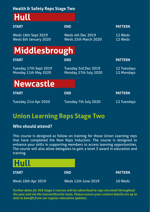### **Health & Safety Reps Stage Two**

# **Hull**

| <b>END</b>                                    | <b>PATTERN</b>            |
|-----------------------------------------------|---------------------------|
| Weds 4th Dec 2019<br>Weds 25th March 2020     | 12 Weds<br>12 Weds        |
|                                               |                           |
| <b>END</b>                                    | <b>PATTERN</b>            |
| Tuesday 3rd Dec 2019<br>Monday 27th July 2020 | 12 Tuesdays<br>12 Mondays |
|                                               |                           |
| <b>END</b>                                    | <b>PATTERN</b>            |
| Tuesday 7th July 2020                         | 12 Tuesdays               |
|                                               | Middlesbrough             |

### **Union Learning Reps Stage Two**

### **Who should attend?**

This course is designed as follow on training for those Union Learning reps that have completed the New Reps Induction. The course is designed to enhance your skills in supporting members to access learning opportunities. The course will also allow delegates to gain a level 3 award in education and training.



*Further dates for ULR stage 2 courses will be advertised to reps via email throughout the year and via the learnwithunite team. Please ensure your contact details are up to date to benefit from our regular education updates.*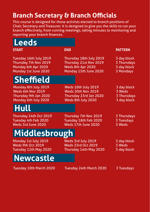### **Branch Secretary & Branch Officials**

This course is designed for those activists elected to branch positions of Chair, Secretary and Treasurer. It is designed to give you the skills to run your branch effectively, from running meetings, taking minutes to monitoring and reporting your branch finances.

| <b>Leeds</b>                                                                                   |                                                                                                 |                                                        |
|------------------------------------------------------------------------------------------------|-------------------------------------------------------------------------------------------------|--------------------------------------------------------|
| <b>START</b>                                                                                   | <b>END</b>                                                                                      | <b>PATTERN</b>                                         |
| Tuesday 16th July 2019<br>Thursday 7th Nov 2019<br>Monday 6th Apr 2020<br>Monday 1st June 2020 | Thursday 18th July 2019<br>Thursday 21st Nov 2019<br>Weds 8th Apr 2020<br>Monday 15th June 2020 | 3 day block<br>3 Thursdays<br>3 day block<br>3 Mondays |
| Sheffield                                                                                      |                                                                                                 |                                                        |
| Monday 8th July 2019<br>Weds 6th Nov 2019<br>Thursday 9th Jan 2020<br>Monday 6th July 2020     | Weds 10th July 2019<br>Weds 20th Nov 2019<br>Thursday 23rd Jan 2020<br>Weds 8th July 2020       | 3 day block<br>3 Weds<br>3 Thursdays<br>3 day block    |
| <b>Hull</b>                                                                                    |                                                                                                 |                                                        |
| Thursday 24th Oct 2019<br>Tuesday 4th Feb 2020<br>Weds 3rd June 2020                           | Thursday 7th Nov 2019<br>Tuesday 18th Feb 2020<br>Weds 17th June 2020                           | 3 Thursdays<br>3 Tuesdays<br>3 Weds                    |
| Middlesbrough                                                                                  |                                                                                                 |                                                        |
| Monday 1st July 2019<br>Weds 9th Oct 2019<br>Tuesday 12th May 2020                             | Weds 3rd July 2019<br><b>Weds 23rd Oct 2019</b><br>Thursday 14th May 2020                       | 3 day block<br>3 Weds<br>3 day block                   |
| <b>Newcastle</b>                                                                               |                                                                                                 |                                                        |
| Tuesday 10th March 2020                                                                        | Tuesday 24th March 2020                                                                         | 3 Tuesdays                                             |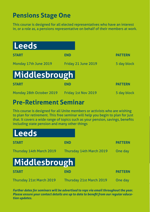### **Pensions Stage One**

This course is designed for all elected representatives who have an interest in, or a role as, a pensions representative on behalf of their members at work.



### **Pre-Retirement Seminar**

This course is designed for all Unite members or activists who are wishing to plan for retirement. This free seminar will help you begin to plan for just that. It covers a wide range of topics such as your pension, savings, benefits including state pension and many other things



*Further dates for seminars will be advertised to reps via email throughout the year. Please ensure your contact details are up to date to benefit from our regular education updates.*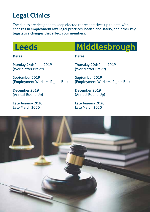### **Legal Clinics**

The clinics are designed to keep elected representatives up to date with changes in employment law, legal practices, health and safety, and other key legislative changes that affect your members.

Monday 24th June 2019 (World after Brexit)

#### **Dates**

## **Leeds Middlesbrough**

#### **Dates**

Thursday 20th June 2019

September 2019 (Employment Workers' Rights Bill)

December 2019 (Annual Round Up)

Late January 2020 Late March 2020

(World after Brexit)

September 2019 (Employment Workers' Rights Bill)

December 2019 (Annual Round Up)

Late January 2020 Late March 2020

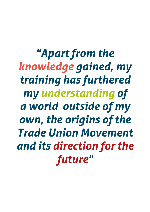*"Apart from the knowledge gained, my training has furthered my understanding of a world outside of my own, the origins of the Trade Union Movement and its direction for the future"*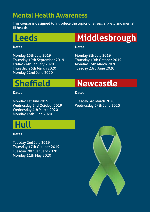### **Mental Health Awareness**

This course is designed to introduce the topics of stress, anxiety and mental ill health.

**Leeds**

### **Dates**

Monday 15th July 2019 Thursday 19th September 2019 Friday 24th January 2020 Thursday 26th March 2020 Monday 22nd June 2020

# **Middlesbrough**

#### **Dates**

Monday 8th July 2019 Thursday 10th October 2019 Monday 16th March 2020 Tuesday 23rd June 2020

# **Sheffield**

### **Dates**

### **Dates**

Monday 1st July 2019 Wednesday 2nd October 2019 Wednesday 4th March 2020 Monday 15th June 2020

Tuesday 3rd March 2020 Wednesday 24th June 2020

**Newcastle**

### **Hull**

### **Dates**

Tuesday 2nd July 2019 Thursday 17th October 2019 Tuesday 28th January 2020 Monday 11th May 2020

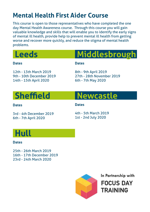### **Mental Health First Aider Course**

This course is open to those representatives who have completed the one day Mental Health Awareness course. Through this course you will gain valuable knowledge and skills that will enable you to identify the early signs of mental ill health, provide help to prevent mental ill health from getting worse and recover more quickly, and reduce the stigma of mental health problems.

| <b>Leeds</b>                                                                 | Middlesbrough                                                           |
|------------------------------------------------------------------------------|-------------------------------------------------------------------------|
| <b>Dates</b>                                                                 | <b>Dates</b>                                                            |
| 12th - 13th March 2019<br>9th - 10th December 2019<br>14th - 15th April 2020 | 8th - 9th April 2019<br>27th - 28th November 2019<br>6th - 7th May 2020 |
| <b>Sheffield</b>                                                             | Newcastle                                                               |
| <b>Datas</b>                                                                 | Natoc                                                                   |

#### **Dates**

**Dates** 

3rd - 4th December 2019 6th - 7th April 2020

4th - 5th March 2019 1st - 2nd July 2020

### **Hull**

### **Dates**

25th - 26th March 2019 16th - 17th December 2019 23rd - 24th March 2020



**In Partnership withFOCUS DAY TRAINING**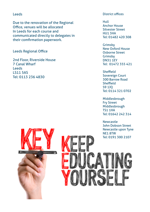#### Leeds

Due to the renovation of the Regional Office, venues will be allocated In Leeds for each course and communicated directly to delegates in their comfirmation paperwork.

#### Leeds Regional Office

2nd Floor, Riverside House 7 Canal Wharf Leeds LS11 5AS Tel: 0113 236 4830

#### District offices

Hull Anchor House Silvester Street HU1 3HA Tel: 01482 420 308

Grimsby New Oxford House Osborne Street Grimsby DN31 1EY Tel: 01472 355 421

Sheffield Sovereign Court 300 Barrow Road **Sheffield** S9 1JQ Tel: 0114 321 0702

Middlesbrough Fry Street Middlesbrough TS1 1HA Tel: 01642 242 314

Newcastle John Dobson Street Newcastle upon Tyne NE1 8TW Tel: 0191 300 2107